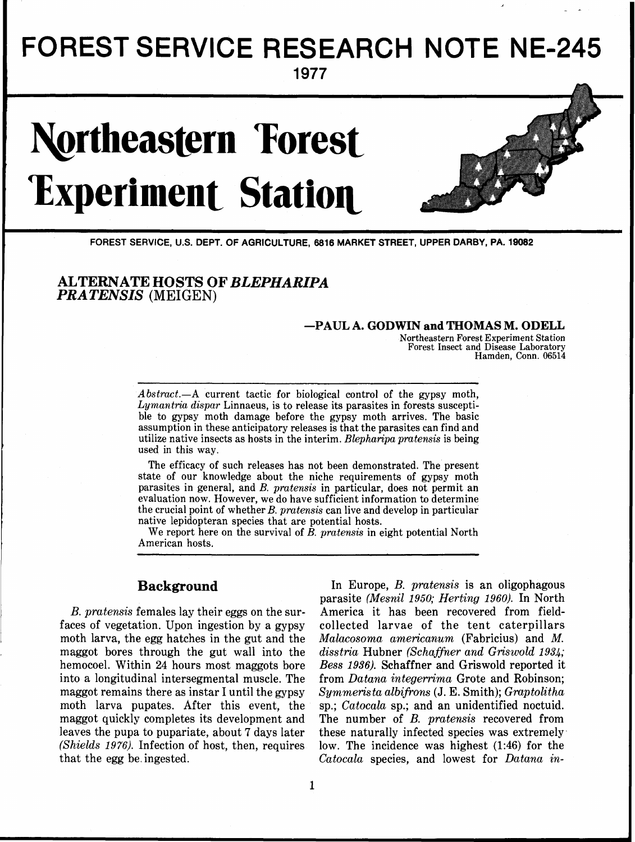## FOREST SERVICE RESEARCH NOTE NE-245

**1977** 

# **Northeastern Forest Experiment Station**



**1** 

- -

**FOREST SERVICE, U.S. DEPT. OF AGRICULTURE, 6816 MARKET STREET, UPPER DARBY, PA. 19082** 

**ALTERNATE HOSTS OF** *BLEPHARIPA PRA TENSIS (MEIGEN)* 

## **-PAUL A. GODWIN and THOMAS M. ODELL**

Northeastern Forest Experiment Station Forest Insect and Disease Laboratory Hamden, Conn. 06514

**J** 

Abstract.-A current tactic for biological control of the gypsy moth, Lymantria dispar Linnaeus, is to release its parasites in forests susceptible to gypsy moth damage before the gypsy moth arrives. The basic assumption in these anticipatory releases is that the parasites can find and utilize native insects as hosts in the interim. Blepharipa pratensis is being used in this way.

The efficacy of such releases has not been demonstrated. The present state of our knowledge about the niche requirements of gypsy moth parasites in general, and B. pratensis in particular, does not permit an evaluation now. However, we do have sufficient information to determine the crucial point of whether B. pratensis can live and develop in particular native lepidopteran species that are potential hosts.

We report here on the survival of B. pratensis in eight potential North American hosts.

faces of vegetation. Upon ingestion by a gypsy collected larvae of the tent caterpillars moth larva, the egg hatches in the gut and the *Malacosoma americanum* (Fabricius) and M. maggot bores through the gut wall into the *disstria* Hubner *(Schaffner and Griswold 1934;*  hemocoel. Within *24* hours most maggots bore *Bess 1936).* Schaffner and Griswold reported it into a longitudinal intersegmental muscle. The from *Datana integerrirna* Grote and Robinson; maggot remains there as instar I until the gypsy *Syrnmerista albifions* (J. *E.* Smith); *Gmptolitha*  moth larva pupates. After this event, the sp.; *Catocala* sp.; and an unidentified noctuid. maggot quickly completes its development and The number of B. *pratensis* recovered from leaves the pupa to pupariate, about 7 days later these naturally infected species was extremely (Shields 1976). Infection of host, then, requires low. The incidence was highest (1:46) for the that the egg be.ingested. *Catocala* species, and lowest for *Datana in-*

**Background** In Europe, *B. pratensis* is an oligophagous parasite *(Mesnil 1950; Herting 1960).* In North *B. pratensis* females lay their eggs on the sur- America it has been recovered from fieldlow. The incidence was highest  $(1:46)$  for the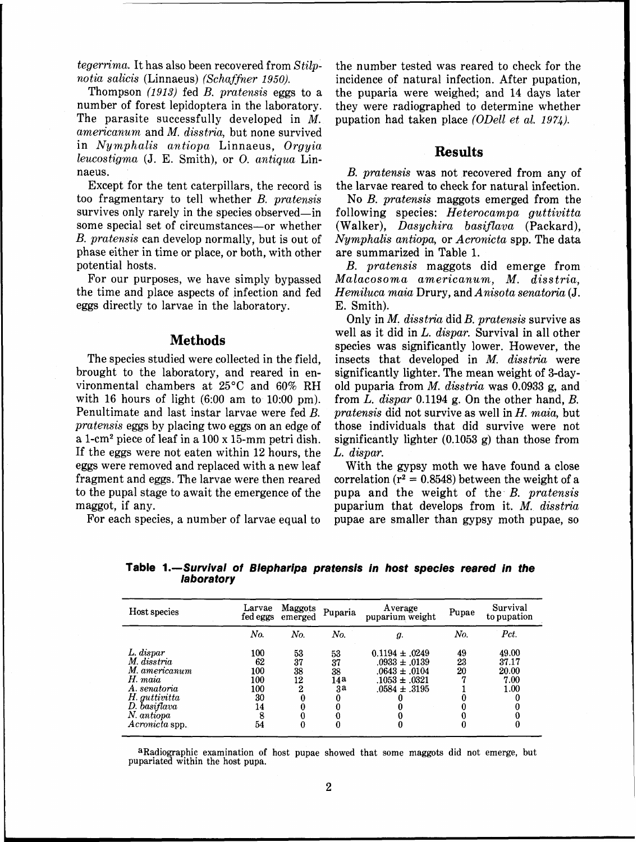*tegerrima*. It has also been recovered from  $Stilp$ notia salicis (Linnaeus) (Schaffner 1950).

Thompson (1913) fed *B.* pratensis eggs to a number of forest lepidoptera in the laboratory. The parasite successfully developed in M. americanum and M. disstria, but none survived in Nymphalis antiopa Linnaeus, Orgyia leucostigma (J. E. Smith), or 0. antiqua Linnaeus.

Except for the tent caterpillars, the record is too fragmentary to tell whether B. pratensis survives only rarely in the species observed—in some special set of circumstances-or whether B. pratensis can develop normally, but is out of phase either in time or place, or both, with other potential hosts.

For our purposes, we have simply bypassed the time and place aspects of infection and fed eggs directly to larvae in the laboratory.

## **Methods**

The species studied were collected in the field, brought to the laboratory, and reared in environmental chambers at 25°C and 60% RH with 16 hours of light  $(6:00 \text{ am to } 10:00 \text{ pm})$ . Penultimate and last instar larvae were fed B. pratensis eggs by placing two eggs on an edge of a 1-cm2 piece of leaf in a 100 x 15-mm petri dish. If the eggs were not eaten within 12 hours, the eggs were removed and replaced with a new leaf fragment and eggs. The larvae were then reared to the pupal stage to await the emergence of the maggot, if any.

For each species, a number of larvae equal to

the number tested was reared to check for the incidence of natural infection. After pupation, the puparia were weighed; and 14 days later they were radiographed to determine whether pupation had taken place (ODell et al. 1974).

## **Results**

*B.* pratensis was not recovered from any of the larvae reared to check for natural infection.

No B. pratensis maggots emerged from the following species:  $Heterocampa$  guttivitta (Walker), Dasychira basiflava (Packard), Nymphalis antiopa, or Acronicta spp. The data are summarized in Table 1.

B. pratensis maggots did emerge from Malacosoma americanum, M. disstria, Hemiluca maia Drury, and Anisota senatoria (J. E. Smith).

Only in M. disstria did B. pratensis survive as well as it did in L. dispar. Survival in all other species was significantly lower. However, the insects that developed in M. disstria were significantly lighter. The mean weight of 3-dayold puparia from  $M$ . disstria was 0.0933 g, and from L. dispar 0.1194 g. On the other hand, B. pratensis did not survive as well in  $H$ . maia, but those individuals that did survive were not significantly lighter (0.1053 g) than those from L. dispar.

With the gypsy moth we have found a close correlation ( $r^2 = 0.8548$ ) between the weight of a pupa and the weight of the B. pratensis puparium that develops from it.  $M$ . disstria pupae are smaller than gypsy moth pupae, so

| Host species                                                                                                                          | Larvae<br>fed eggs                                    | Maggots<br>emerged             | Puparia                     | Average<br>puparium weight                                                                             | Pupae          | Survival<br>to pupation                      |
|---------------------------------------------------------------------------------------------------------------------------------------|-------------------------------------------------------|--------------------------------|-----------------------------|--------------------------------------------------------------------------------------------------------|----------------|----------------------------------------------|
|                                                                                                                                       | No.                                                   | No.                            | No.                         | g.                                                                                                     | No.            | Pct.                                         |
| L. dispar<br>M. disstria<br>M. americanum<br>H. maia<br>A. senatoria<br>H. guttivitta<br>D. basiflava<br>N. antiopa<br>Acronicta spp. | 100<br>62<br>100<br>100<br>100<br>30<br>14<br>8<br>54 | 53<br>37<br>38<br>12<br>2<br>0 | 53<br>37<br>38<br>14a<br>зa | $0.1194 \pm .0249$<br>$.0933 \pm .0139$<br>$.0643 \pm .0104$<br>$.1053 \pm .0321$<br>$.0584 \pm .3195$ | 49<br>23<br>20 | 49.00<br>37.17<br>20.00<br>7.00<br>1.00<br>0 |

**Table 1.-Survival of Blepharipa pratensis in host species reared in the laboratory** 

aRadiographic examination of host pupae showed that some maggots did not emerge, but pupariated within the host pupa.